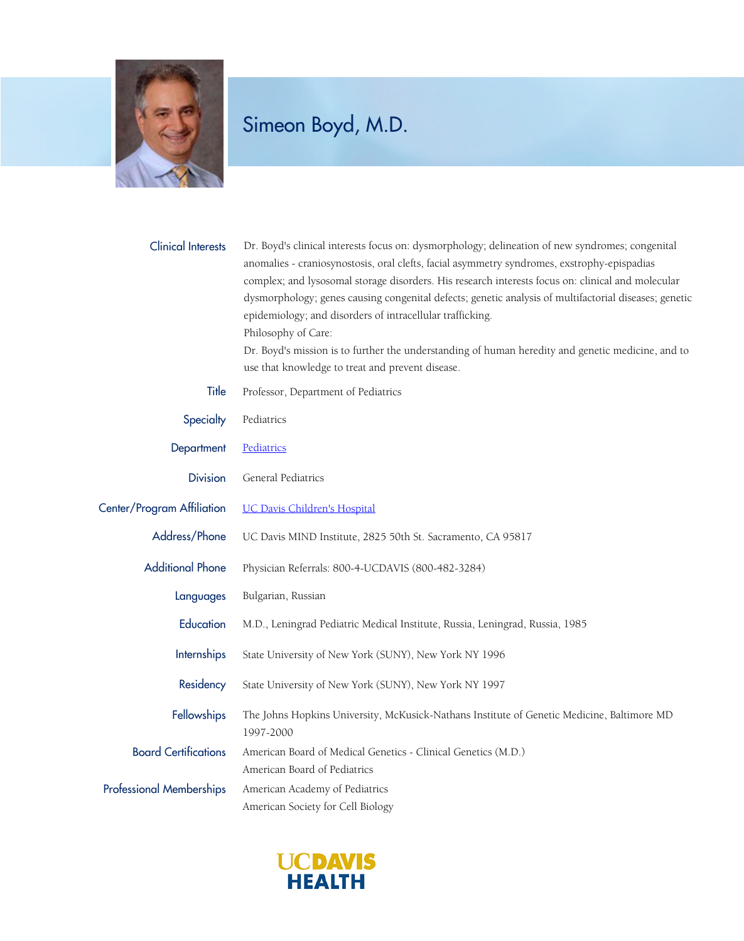

| <b>Clinical Interests</b>       | Dr. Boyd's clinical interests focus on: dysmorphology; delineation of new syndromes; congenital<br>anomalies - craniosynostosis, oral clefts, facial asymmetry syndromes, exstrophy-epispadias<br>complex; and lysosomal storage disorders. His research interests focus on: clinical and molecular<br>dysmorphology; genes causing congenital defects; genetic analysis of multifactorial diseases; genetic<br>epidemiology; and disorders of intracellular trafficking.<br>Philosophy of Care:<br>Dr. Boyd's mission is to further the understanding of human heredity and genetic medicine, and to<br>use that knowledge to treat and prevent disease. |
|---------------------------------|-----------------------------------------------------------------------------------------------------------------------------------------------------------------------------------------------------------------------------------------------------------------------------------------------------------------------------------------------------------------------------------------------------------------------------------------------------------------------------------------------------------------------------------------------------------------------------------------------------------------------------------------------------------|
| Title                           | Professor, Department of Pediatrics                                                                                                                                                                                                                                                                                                                                                                                                                                                                                                                                                                                                                       |
| Specialty                       | Pediatrics                                                                                                                                                                                                                                                                                                                                                                                                                                                                                                                                                                                                                                                |
| Department                      | Pediatrics                                                                                                                                                                                                                                                                                                                                                                                                                                                                                                                                                                                                                                                |
| <b>Division</b>                 | General Pediatrics                                                                                                                                                                                                                                                                                                                                                                                                                                                                                                                                                                                                                                        |
| Center/Program Affiliation      | <b>UC Davis Children's Hospital</b>                                                                                                                                                                                                                                                                                                                                                                                                                                                                                                                                                                                                                       |
| Address/Phone                   | UC Davis MIND Institute, 2825 50th St. Sacramento, CA 95817                                                                                                                                                                                                                                                                                                                                                                                                                                                                                                                                                                                               |
| <b>Additional Phone</b>         | Physician Referrals: 800-4-UCDAVIS (800-482-3284)                                                                                                                                                                                                                                                                                                                                                                                                                                                                                                                                                                                                         |
| Languages                       | Bulgarian, Russian                                                                                                                                                                                                                                                                                                                                                                                                                                                                                                                                                                                                                                        |
| Education                       | M.D., Leningrad Pediatric Medical Institute, Russia, Leningrad, Russia, 1985                                                                                                                                                                                                                                                                                                                                                                                                                                                                                                                                                                              |
| Internships                     | State University of New York (SUNY), New York NY 1996                                                                                                                                                                                                                                                                                                                                                                                                                                                                                                                                                                                                     |
| Residency                       | State University of New York (SUNY), New York NY 1997                                                                                                                                                                                                                                                                                                                                                                                                                                                                                                                                                                                                     |
| Fellowships                     | The Johns Hopkins University, McKusick-Nathans Institute of Genetic Medicine, Baltimore MD<br>1997-2000                                                                                                                                                                                                                                                                                                                                                                                                                                                                                                                                                   |
| <b>Board Certifications</b>     | American Board of Medical Genetics - Clinical Genetics (M.D.)<br>American Board of Pediatrics                                                                                                                                                                                                                                                                                                                                                                                                                                                                                                                                                             |
| <b>Professional Memberships</b> | American Academy of Pediatrics<br>American Society for Cell Biology                                                                                                                                                                                                                                                                                                                                                                                                                                                                                                                                                                                       |

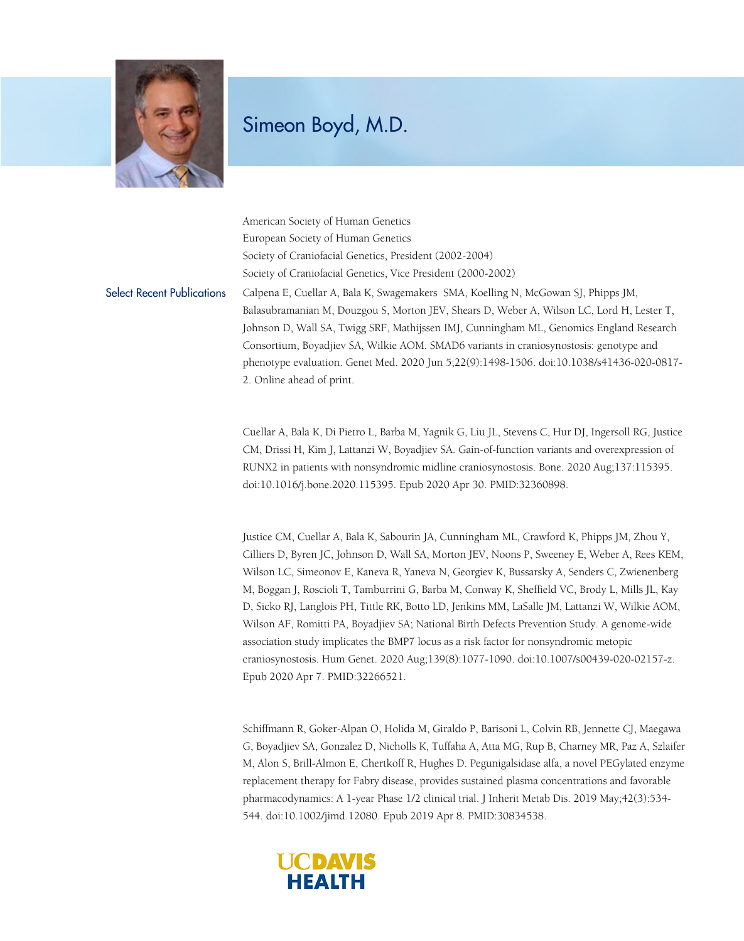

American Society of Human Genetics European Society of Human Genetics Society of Craniofacial Genetics, President (2002-2004) Society of Craniofacial Genetics, Vice President (2000-2002) Select Recent Publications Calpena E, Cuellar A, Bala K, Swagemakers SMA, Koelling N, McGowan SJ, Phipps JM, Balasubramanian M, Douzgou S, Morton JEV, Shears D, Weber A, Wilson LC, Lord H, Lester T, Johnson D, Wall SA, Twigg SRF, Mathijssen IMJ, Cunningham ML, Genomics England Research Consortium, Boyadjiev SA, Wilkie AOM. SMAD6 variants in craniosynostosis: genotype and phenotype evaluation. Genet Med. 2020 Jun 5;22(9):1498-1506. doi:10.1038/s41436-020-0817- 2. Online ahead of print.

> Cuellar A, Bala K, Di Pietro L, Barba M, Yagnik G, Liu JL, Stevens C, Hur DJ, Ingersoll RG, Justice CM, Drissi H, Kim J, Lattanzi W, Boyadjiev SA. Gain-of-function variants and overexpression of RUNX2 in patients with nonsyndromic midline craniosynostosis. Bone. 2020 Aug;137:115395. doi:10.1016/j.bone.2020.115395. Epub 2020 Apr 30. PMID:32360898.

> Justice CM, Cuellar A, Bala K, Sabourin JA, Cunningham ML, Crawford K, Phipps JM, Zhou Y, Cilliers D, Byren JC, Johnson D, Wall SA, Morton JEV, Noons P, Sweeney E, Weber A, Rees KEM, Wilson LC, Simeonov E, Kaneva R, Yaneva N, Georgiev K, Bussarsky A, Senders C, Zwienenberg M, Boggan J, Roscioli T, Tamburrini G, Barba M, Conway K, Sheffield VC, Brody L, Mills JL, Kay D, Sicko RJ, Langlois PH, Tittle RK, Botto LD, Jenkins MM, LaSalle JM, Lattanzi W, Wilkie AOM, Wilson AF, Romitti PA, Boyadjiev SA; National Birth Defects Prevention Study. A genome-wide association study implicates the BMP7 locus as a risk factor for nonsyndromic metopic craniosynostosis. Hum Genet. 2020 Aug;139(8):1077-1090. doi:10.1007/s00439-020-02157-z. Epub 2020 Apr 7. PMID:32266521.

> Schiffmann R, Goker-Alpan O, Holida M, Giraldo P, Barisoni L, Colvin RB, Jennette CJ, Maegawa G, Boyadjiev SA, Gonzalez D, Nicholls K, Tuffaha A, Atta MG, Rup B, Charney MR, Paz A, Szlaifer M, Alon S, Brill-Almon E, Chertkoff R, Hughes D. Pegunigalsidase alfa, a novel PEGylated enzyme replacement therapy for Fabry disease, provides sustained plasma concentrations and favorable pharmacodynamics: A 1-year Phase 1/2 clinical trial. J Inherit Metab Dis. 2019 May;42(3):534- 544. doi:10.1002/jimd.12080. Epub 2019 Apr 8. PMID:30834538.

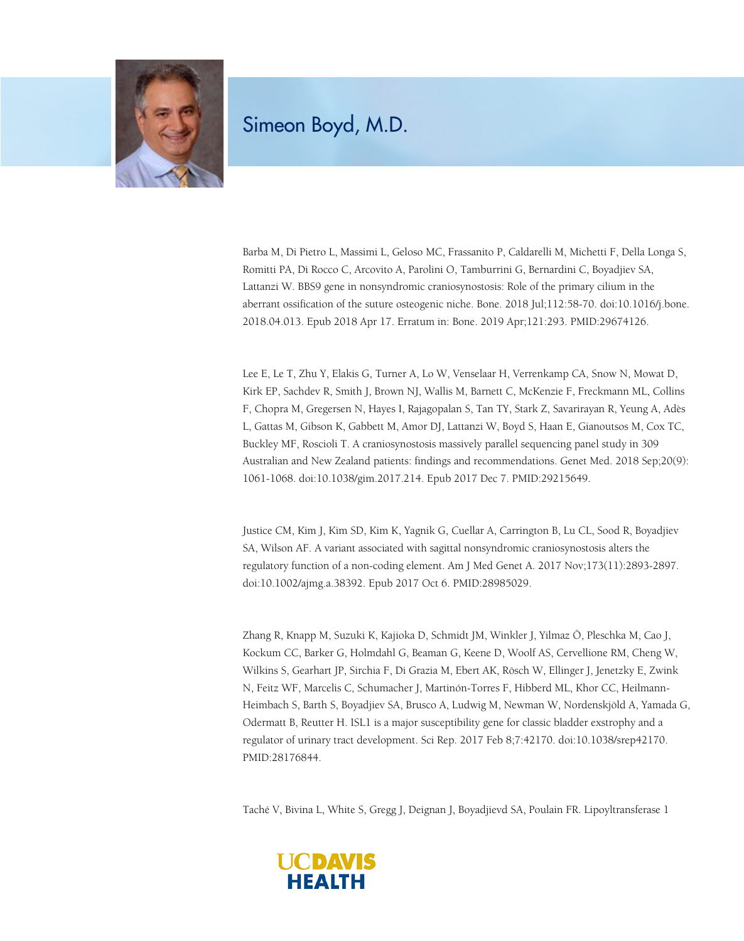

Barba M, Di Pietro L, Massimi L, Geloso MC, Frassanito P, Caldarelli M, Michetti F, Della Longa S, Romitti PA, Di Rocco C, Arcovito A, Parolini O, Tamburrini G, Bernardini C, Boyadjiev SA, Lattanzi W. BBS9 gene in nonsyndromic craniosynostosis: Role of the primary cilium in the aberrant ossification of the suture osteogenic niche. Bone. 2018 Jul;112:58-70. doi:10.1016/j.bone. 2018.04.013. Epub 2018 Apr 17. Erratum in: Bone. 2019 Apr;121:293. PMID:29674126.

Lee E, Le T, Zhu Y, Elakis G, Turner A, Lo W, Venselaar H, Verrenkamp CA, Snow N, Mowat D, Kirk EP, Sachdev R, Smith J, Brown NJ, Wallis M, Barnett C, McKenzie F, Freckmann ML, Collins F, Chopra M, Gregersen N, Hayes I, Rajagopalan S, Tan TY, Stark Z, Savarirayan R, Yeung A, Adès L, Gattas M, Gibson K, Gabbett M, Amor DJ, Lattanzi W, Boyd S, Haan E, Gianoutsos M, Cox TC, Buckley MF, Roscioli T. A craniosynostosis massively parallel sequencing panel study in 309 Australian and New Zealand patients: findings and recommendations. Genet Med. 2018 Sep;20(9): 1061-1068. doi:10.1038/gim.2017.214. Epub 2017 Dec 7. PMID:29215649.

Justice CM, Kim J, Kim SD, Kim K, Yagnik G, Cuellar A, Carrington B, Lu CL, Sood R, Boyadjiev SA, Wilson AF. A variant associated with sagittal nonsyndromic craniosynostosis alters the regulatory function of a non-coding element. Am J Med Genet A. 2017 Nov;173(11):2893-2897. doi:10.1002/ajmg.a.38392. Epub 2017 Oct 6. PMID:28985029.

Zhang R, Knapp M, Suzuki K, Kajioka D, Schmidt JM, Winkler J, Yilmaz Ö, Pleschka M, Cao J, Kockum CC, Barker G, Holmdahl G, Beaman G, Keene D, Woolf AS, Cervellione RM, Cheng W, Wilkins S, Gearhart JP, Sirchia F, Di Grazia M, Ebert AK, Rösch W, Ellinger J, Jenetzky E, Zwink N, Feitz WF, Marcelis C, Schumacher J, Martinón-Torres F, Hibberd ML, Khor CC, Heilmann-Heimbach S, Barth S, Boyadjiev SA, Brusco A, Ludwig M, Newman W, Nordenskjöld A, Yamada G, Odermatt B, Reutter H. ISL1 is a major susceptibility gene for classic bladder exstrophy and a regulator of urinary tract development. Sci Rep. 2017 Feb 8;7:42170. doi:10.1038/srep42170. PMID:28176844.

Taché V, Bivina L, White S, Gregg J, Deignan J, Boyadjievd SA, Poulain FR. Lipoyltransferase 1